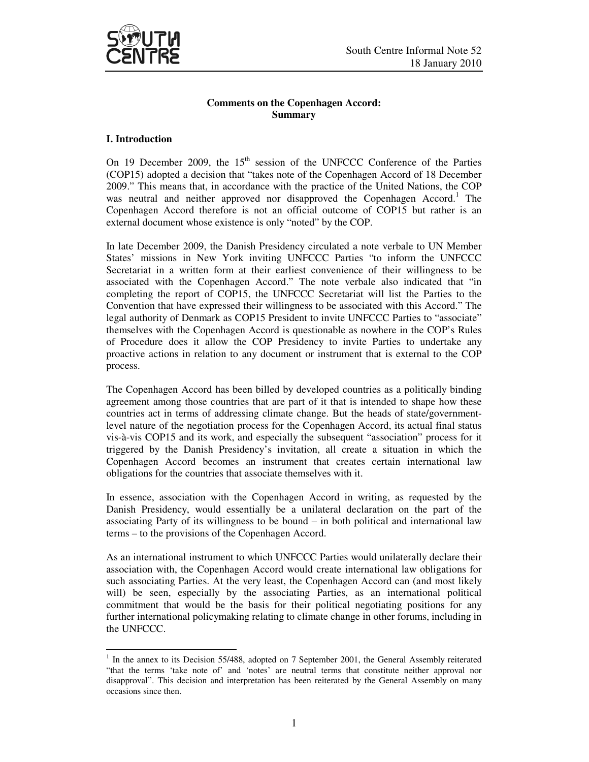

# **Comments on the Copenhagen Accord: Summary**

### **I. Introduction**

-

On 19 December 2009, the  $15<sup>th</sup>$  session of the UNFCCC Conference of the Parties (COP15) adopted a decision that "takes note of the Copenhagen Accord of 18 December 2009." This means that, in accordance with the practice of the United Nations, the COP was neutral and neither approved nor disapproved the Copenhagen Accord.<sup>1</sup> The Copenhagen Accord therefore is not an official outcome of COP15 but rather is an external document whose existence is only "noted" by the COP.

In late December 2009, the Danish Presidency circulated a note verbale to UN Member States' missions in New York inviting UNFCCC Parties "to inform the UNFCCC Secretariat in a written form at their earliest convenience of their willingness to be associated with the Copenhagen Accord." The note verbale also indicated that "in completing the report of COP15, the UNFCCC Secretariat will list the Parties to the Convention that have expressed their willingness to be associated with this Accord." The legal authority of Denmark as COP15 President to invite UNFCCC Parties to "associate" themselves with the Copenhagen Accord is questionable as nowhere in the COP's Rules of Procedure does it allow the COP Presidency to invite Parties to undertake any proactive actions in relation to any document or instrument that is external to the COP process.

The Copenhagen Accord has been billed by developed countries as a politically binding agreement among those countries that are part of it that is intended to shape how these countries act in terms of addressing climate change. But the heads of state/governmentlevel nature of the negotiation process for the Copenhagen Accord, its actual final status vis-à-vis COP15 and its work, and especially the subsequent "association" process for it triggered by the Danish Presidency's invitation, all create a situation in which the Copenhagen Accord becomes an instrument that creates certain international law obligations for the countries that associate themselves with it.

In essence, association with the Copenhagen Accord in writing, as requested by the Danish Presidency, would essentially be a unilateral declaration on the part of the associating Party of its willingness to be bound – in both political and international law terms – to the provisions of the Copenhagen Accord.

As an international instrument to which UNFCCC Parties would unilaterally declare their association with, the Copenhagen Accord would create international law obligations for such associating Parties. At the very least, the Copenhagen Accord can (and most likely will) be seen, especially by the associating Parties, as an international political commitment that would be the basis for their political negotiating positions for any further international policymaking relating to climate change in other forums, including in the UNFCCC.

<sup>&</sup>lt;sup>1</sup> In the annex to its Decision 55/488, adopted on 7 September 2001, the General Assembly reiterated "that the terms 'take note of' and 'notes' are neutral terms that constitute neither approval nor disapproval". This decision and interpretation has been reiterated by the General Assembly on many occasions since then.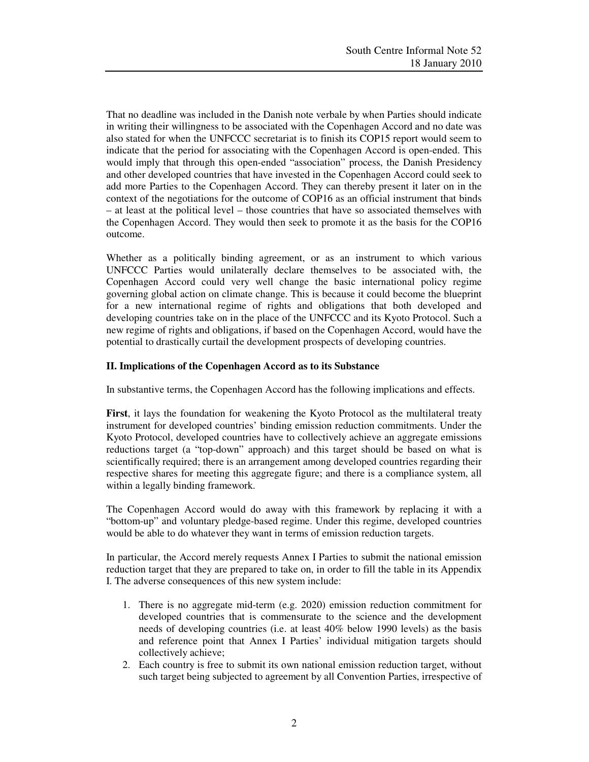That no deadline was included in the Danish note verbale by when Parties should indicate in writing their willingness to be associated with the Copenhagen Accord and no date was also stated for when the UNFCCC secretariat is to finish its COP15 report would seem to indicate that the period for associating with the Copenhagen Accord is open-ended. This would imply that through this open-ended "association" process, the Danish Presidency and other developed countries that have invested in the Copenhagen Accord could seek to add more Parties to the Copenhagen Accord. They can thereby present it later on in the context of the negotiations for the outcome of COP16 as an official instrument that binds – at least at the political level – those countries that have so associated themselves with the Copenhagen Accord. They would then seek to promote it as the basis for the COP16 outcome.

Whether as a politically binding agreement, or as an instrument to which various UNFCCC Parties would unilaterally declare themselves to be associated with, the Copenhagen Accord could very well change the basic international policy regime governing global action on climate change. This is because it could become the blueprint for a new international regime of rights and obligations that both developed and developing countries take on in the place of the UNFCCC and its Kyoto Protocol. Such a new regime of rights and obligations, if based on the Copenhagen Accord, would have the potential to drastically curtail the development prospects of developing countries.

# **II. Implications of the Copenhagen Accord as to its Substance**

In substantive terms, the Copenhagen Accord has the following implications and effects.

**First**, it lays the foundation for weakening the Kyoto Protocol as the multilateral treaty instrument for developed countries' binding emission reduction commitments. Under the Kyoto Protocol, developed countries have to collectively achieve an aggregate emissions reductions target (a "top-down" approach) and this target should be based on what is scientifically required; there is an arrangement among developed countries regarding their respective shares for meeting this aggregate figure; and there is a compliance system, all within a legally binding framework.

The Copenhagen Accord would do away with this framework by replacing it with a "bottom-up" and voluntary pledge-based regime. Under this regime, developed countries would be able to do whatever they want in terms of emission reduction targets.

In particular, the Accord merely requests Annex I Parties to submit the national emission reduction target that they are prepared to take on, in order to fill the table in its Appendix I. The adverse consequences of this new system include:

- 1. There is no aggregate mid-term (e.g. 2020) emission reduction commitment for developed countries that is commensurate to the science and the development needs of developing countries (i.e. at least 40% below 1990 levels) as the basis and reference point that Annex I Parties' individual mitigation targets should collectively achieve;
- 2. Each country is free to submit its own national emission reduction target, without such target being subjected to agreement by all Convention Parties, irrespective of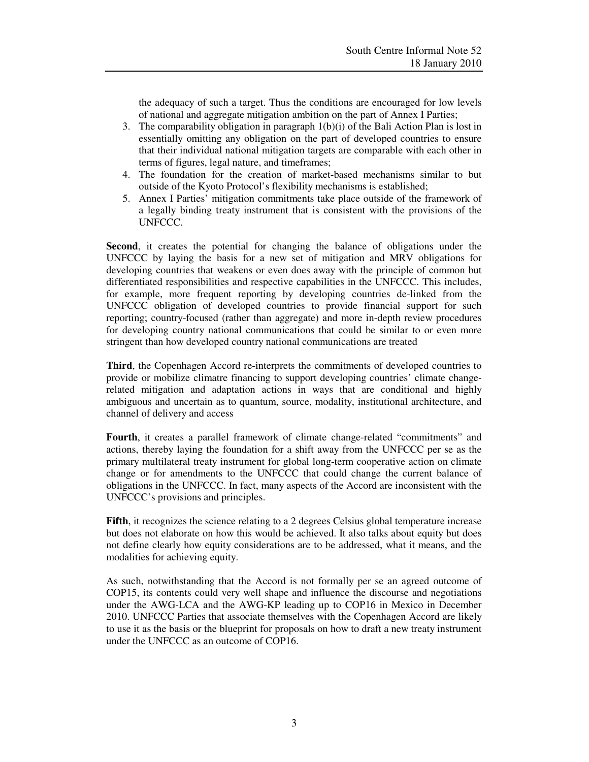the adequacy of such a target. Thus the conditions are encouraged for low levels of national and aggregate mitigation ambition on the part of Annex I Parties;

- 3. The comparability obligation in paragraph 1(b)(i) of the Bali Action Plan is lost in essentially omitting any obligation on the part of developed countries to ensure that their individual national mitigation targets are comparable with each other in terms of figures, legal nature, and timeframes;
- 4. The foundation for the creation of market-based mechanisms similar to but outside of the Kyoto Protocol's flexibility mechanisms is established;
- 5. Annex I Parties' mitigation commitments take place outside of the framework of a legally binding treaty instrument that is consistent with the provisions of the UNFCCC.

**Second**, it creates the potential for changing the balance of obligations under the UNFCCC by laying the basis for a new set of mitigation and MRV obligations for developing countries that weakens or even does away with the principle of common but differentiated responsibilities and respective capabilities in the UNFCCC. This includes, for example, more frequent reporting by developing countries de-linked from the UNFCCC obligation of developed countries to provide financial support for such reporting; country-focused (rather than aggregate) and more in-depth review procedures for developing country national communications that could be similar to or even more stringent than how developed country national communications are treated

**Third**, the Copenhagen Accord re-interprets the commitments of developed countries to provide or mobilize climatre financing to support developing countries' climate changerelated mitigation and adaptation actions in ways that are conditional and highly ambiguous and uncertain as to quantum, source, modality, institutional architecture, and channel of delivery and access

**Fourth**, it creates a parallel framework of climate change-related "commitments" and actions, thereby laying the foundation for a shift away from the UNFCCC per se as the primary multilateral treaty instrument for global long-term cooperative action on climate change or for amendments to the UNFCCC that could change the current balance of obligations in the UNFCCC. In fact, many aspects of the Accord are inconsistent with the UNFCCC's provisions and principles.

Fifth, it recognizes the science relating to a 2 degrees Celsius global temperature increase but does not elaborate on how this would be achieved. It also talks about equity but does not define clearly how equity considerations are to be addressed, what it means, and the modalities for achieving equity.

As such, notwithstanding that the Accord is not formally per se an agreed outcome of COP15, its contents could very well shape and influence the discourse and negotiations under the AWG-LCA and the AWG-KP leading up to COP16 in Mexico in December 2010. UNFCCC Parties that associate themselves with the Copenhagen Accord are likely to use it as the basis or the blueprint for proposals on how to draft a new treaty instrument under the UNFCCC as an outcome of COP16.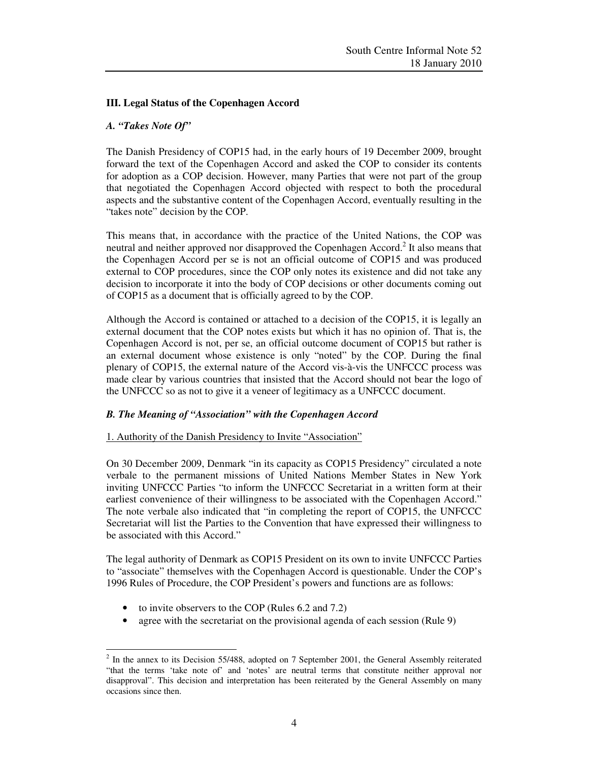# **III. Legal Status of the Copenhagen Accord**

### *A. "Takes Note Of"*

The Danish Presidency of COP15 had, in the early hours of 19 December 2009, brought forward the text of the Copenhagen Accord and asked the COP to consider its contents for adoption as a COP decision. However, many Parties that were not part of the group that negotiated the Copenhagen Accord objected with respect to both the procedural aspects and the substantive content of the Copenhagen Accord, eventually resulting in the "takes note" decision by the COP.

This means that, in accordance with the practice of the United Nations, the COP was neutral and neither approved nor disapproved the Copenhagen Accord.<sup>2</sup> It also means that the Copenhagen Accord per se is not an official outcome of COP15 and was produced external to COP procedures, since the COP only notes its existence and did not take any decision to incorporate it into the body of COP decisions or other documents coming out of COP15 as a document that is officially agreed to by the COP.

Although the Accord is contained or attached to a decision of the COP15, it is legally an external document that the COP notes exists but which it has no opinion of. That is, the Copenhagen Accord is not, per se, an official outcome document of COP15 but rather is an external document whose existence is only "noted" by the COP. During the final plenary of COP15, the external nature of the Accord vis-à-vis the UNFCCC process was made clear by various countries that insisted that the Accord should not bear the logo of the UNFCCC so as not to give it a veneer of legitimacy as a UNFCCC document.

#### *B. The Meaning of "Association" with the Copenhagen Accord*

#### 1. Authority of the Danish Presidency to Invite "Association"

On 30 December 2009, Denmark "in its capacity as COP15 Presidency" circulated a note verbale to the permanent missions of United Nations Member States in New York inviting UNFCCC Parties "to inform the UNFCCC Secretariat in a written form at their earliest convenience of their willingness to be associated with the Copenhagen Accord." The note verbale also indicated that "in completing the report of COP15, the UNFCCC Secretariat will list the Parties to the Convention that have expressed their willingness to be associated with this Accord."

The legal authority of Denmark as COP15 President on its own to invite UNFCCC Parties to "associate" themselves with the Copenhagen Accord is questionable. Under the COP's 1996 Rules of Procedure, the COP President's powers and functions are as follows:

• to invite observers to the COP (Rules 6.2 and 7.2)

-

• agree with the secretariat on the provisional agenda of each session (Rule 9)

 $2$  In the annex to its Decision 55/488, adopted on 7 September 2001, the General Assembly reiterated "that the terms 'take note of' and 'notes' are neutral terms that constitute neither approval nor disapproval". This decision and interpretation has been reiterated by the General Assembly on many occasions since then.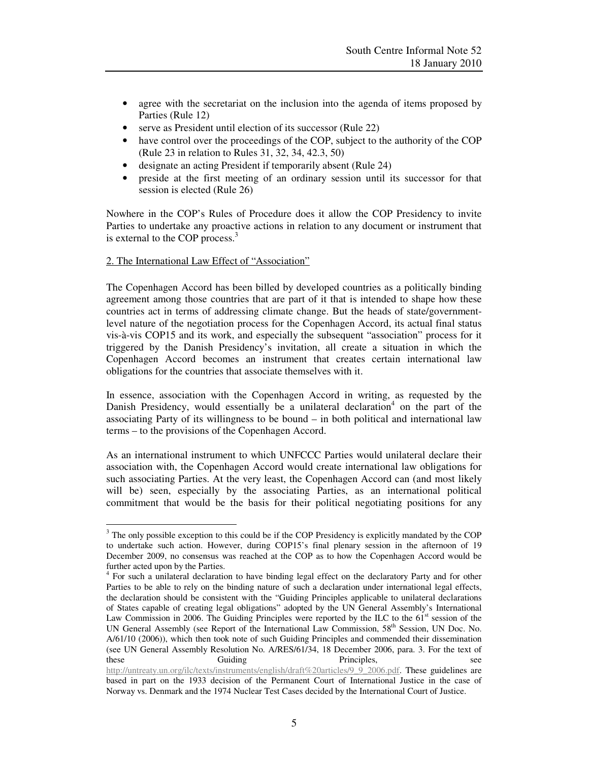- agree with the secretariat on the inclusion into the agenda of items proposed by Parties (Rule 12)
- serve as President until election of its successor (Rule 22)
- have control over the proceedings of the COP, subject to the authority of the COP (Rule 23 in relation to Rules 31, 32, 34, 42.3, 50)
- designate an acting President if temporarily absent (Rule 24)
- preside at the first meeting of an ordinary session until its successor for that session is elected (Rule 26)

Nowhere in the COP's Rules of Procedure does it allow the COP Presidency to invite Parties to undertake any proactive actions in relation to any document or instrument that is external to the COP process.<sup>3</sup>

### 2. The International Law Effect of "Association"

-

The Copenhagen Accord has been billed by developed countries as a politically binding agreement among those countries that are part of it that is intended to shape how these countries act in terms of addressing climate change. But the heads of state/governmentlevel nature of the negotiation process for the Copenhagen Accord, its actual final status vis-à-vis COP15 and its work, and especially the subsequent "association" process for it triggered by the Danish Presidency's invitation, all create a situation in which the Copenhagen Accord becomes an instrument that creates certain international law obligations for the countries that associate themselves with it.

In essence, association with the Copenhagen Accord in writing, as requested by the Danish Presidency, would essentially be a unilateral declaration<sup>4</sup> on the part of the associating Party of its willingness to be bound – in both political and international law terms – to the provisions of the Copenhagen Accord.

As an international instrument to which UNFCCC Parties would unilateral declare their association with, the Copenhagen Accord would create international law obligations for such associating Parties. At the very least, the Copenhagen Accord can (and most likely will be) seen, especially by the associating Parties, as an international political commitment that would be the basis for their political negotiating positions for any

<sup>&</sup>lt;sup>3</sup> The only possible exception to this could be if the COP Presidency is explicitly mandated by the COP to undertake such action. However, during COP15's final plenary session in the afternoon of 19 December 2009, no consensus was reached at the COP as to how the Copenhagen Accord would be further acted upon by the Parties.

<sup>&</sup>lt;sup>4</sup> For such a unilateral declaration to have binding legal effect on the declaratory Party and for other Parties to be able to rely on the binding nature of such a declaration under international legal effects, the declaration should be consistent with the "Guiding Principles applicable to unilateral declarations of States capable of creating legal obligations" adopted by the UN General Assembly's International Law Commission in 2006. The Guiding Principles were reported by the ILC to the  $61<sup>st</sup>$  session of the UN General Assembly (see Report of the International Law Commission, 58th Session, UN Doc. No. A/61/10 (2006)), which then took note of such Guiding Principles and commended their dissemination (see UN General Assembly Resolution No. A/RES/61/34, 18 December 2006, para. 3. For the text of these Guiding Principles, see http://untreaty.un.org/ilc/texts/instruments/english/draft%20articles/9\_9\_2006.pdf. These guidelines are based in part on the 1933 decision of the Permanent Court of International Justice in the case of Norway vs. Denmark and the 1974 Nuclear Test Cases decided by the International Court of Justice.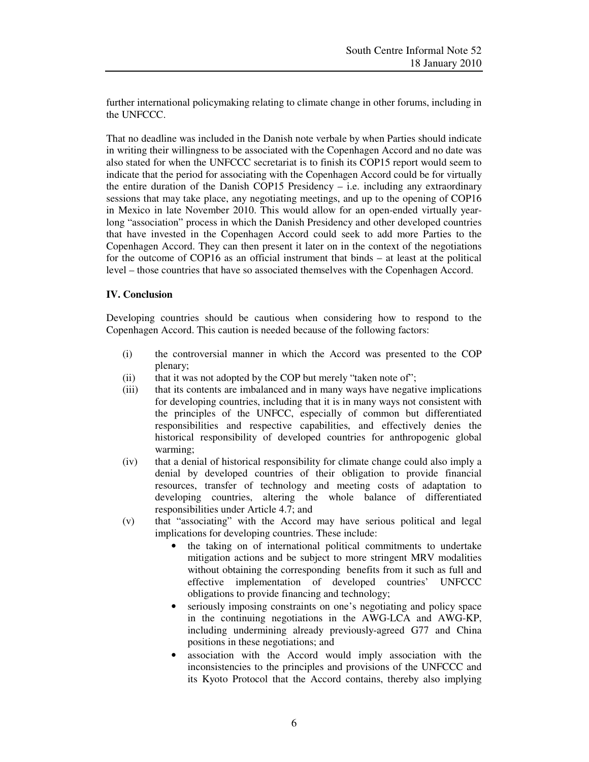further international policymaking relating to climate change in other forums, including in the UNFCCC.

That no deadline was included in the Danish note verbale by when Parties should indicate in writing their willingness to be associated with the Copenhagen Accord and no date was also stated for when the UNFCCC secretariat is to finish its COP15 report would seem to indicate that the period for associating with the Copenhagen Accord could be for virtually the entire duration of the Danish COP15 Presidency  $-$  i.e. including any extraordinary sessions that may take place, any negotiating meetings, and up to the opening of COP16 in Mexico in late November 2010. This would allow for an open-ended virtually yearlong "association" process in which the Danish Presidency and other developed countries that have invested in the Copenhagen Accord could seek to add more Parties to the Copenhagen Accord. They can then present it later on in the context of the negotiations for the outcome of COP16 as an official instrument that binds – at least at the political level – those countries that have so associated themselves with the Copenhagen Accord.

# **IV. Conclusion**

Developing countries should be cautious when considering how to respond to the Copenhagen Accord. This caution is needed because of the following factors:

- (i) the controversial manner in which the Accord was presented to the COP plenary;
- (ii) that it was not adopted by the COP but merely "taken note of";
- (iii) that its contents are imbalanced and in many ways have negative implications for developing countries, including that it is in many ways not consistent with the principles of the UNFCC, especially of common but differentiated responsibilities and respective capabilities, and effectively denies the historical responsibility of developed countries for anthropogenic global warming;
- (iv) that a denial of historical responsibility for climate change could also imply a denial by developed countries of their obligation to provide financial resources, transfer of technology and meeting costs of adaptation to developing countries, altering the whole balance of differentiated responsibilities under Article 4.7; and
- (v) that "associating" with the Accord may have serious political and legal implications for developing countries. These include:
	- the taking on of international political commitments to undertake mitigation actions and be subject to more stringent MRV modalities without obtaining the corresponding benefits from it such as full and effective implementation of developed countries' UNFCCC obligations to provide financing and technology;
	- seriously imposing constraints on one's negotiating and policy space in the continuing negotiations in the AWG-LCA and AWG-KP, including undermining already previously-agreed G77 and China positions in these negotiations; and
	- association with the Accord would imply association with the inconsistencies to the principles and provisions of the UNFCCC and its Kyoto Protocol that the Accord contains, thereby also implying